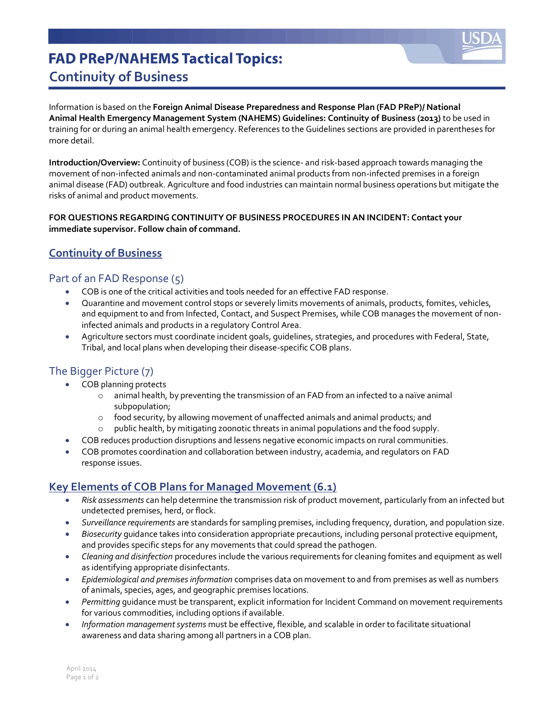

## **FAD PReP/NAHEMS Tactical Topics: Continuity of Business**

Information is based on the **Foreign Animal Disease Preparedness and Response Plan (FAD PReP)/ National Animal Health Emergency Management System (NAHEMS) Guidelines: Continuity of Business (2013)** to be used in training for or during an animal health emergency. References to the Guidelines sections are provided in parentheses for more detail.

**Introduction/Overview:** Continuity of business (COB) is the science- and risk-based approach towards managing the movement of non-infected animals and non-contaminated animal products from non-infected premises in a foreign animal disease (FAD) outbreak. Agriculture and food industries can maintain normal business operations but mitigate the risks of animal and product movements.

#### **FOR QUESTIONS REGARDING CONTINUITY OF BUSINESS PROCEDURES IN AN INCIDENT: Contact your immediate supervisor. Follow chain of command.**

### **Continuity of Business**

#### Part of an FAD Response (5)

- COB is one of the critical activities and tools needed for an effective FAD response.
- Quarantine and movement control stops or severely limits movements of animals, products, fomites, vehicles, and equipment to and from Infected, Contact, and Suspect Premises, while COB manages the movement of noninfected animals and products in a regulatory Control Area.
- Agriculture sectors must coordinate incident goals, guidelines, strategies, and procedures with Federal, State, Tribal, and local plans when developing their disease-specific COB plans.

#### The Bigger Picture (7)

- COB planning protects
	- o animal health, by preventing the transmission of an FAD from an infected to a naïve animal subpopulation;
	- $\circ$  food security, by allowing movement of unaffected animals and animal products; and
	- o public health, by mitigating zoonotic threats in animal populations and the food supply.
- COB reduces production disruptions and lessens negative economic impacts on rural communities.
- COB promotes coordination and collaboration between industry, academia, and regulators on FAD response issues.

### **Key Elements of COB Plans for Managed Movement (6.1)**

- *Risk assessments* can help determine the transmission risk of product movement, particularly from an infected but undetected premises, herd, or flock.
- *Surveillance requirements* are standards for sampling premises, including frequency, duration, and population size.
- *Biosecurity* guidance takes into consideration appropriate precautions, including personal protective equipment, and provides specific steps for any movements that could spread the pathogen.
- *Cleaning and disinfection* procedures include the various requirements for cleaning fomites and equipment as well as identifying appropriate disinfectants.
- *Epidemiological and premises information* comprises data on movement to and from premises as well as numbers of animals, species, ages, and geographic premises locations.
- *Permitting* guidance must be transparent, explicit information for Incident Command on movement requirements for various commodities, including options if available.
- *Information management systems* must be effective, flexible, and scalable in order to facilitate situational awareness and data sharing among all partners in a COB plan.